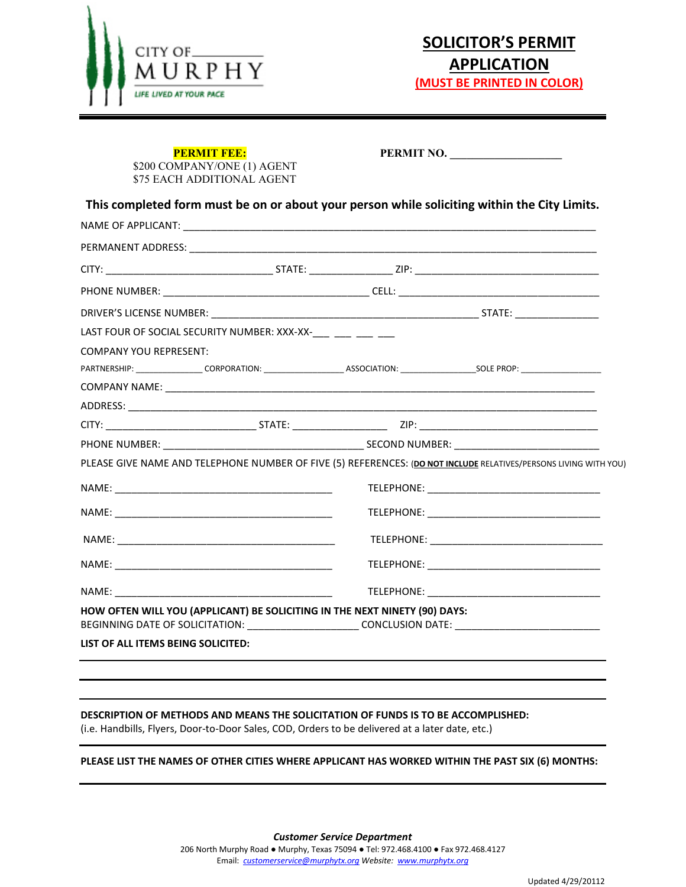

\$200 COMPANY/ONE (1) AGENT \$75 EACH ADDITIONAL AGENT

**PERMIT FEE:** PERMIT NO.

**This completed form must be on or about your person while soliciting within the City Limits.** 

| LAST FOUR OF SOCIAL SECURITY NUMBER: XXX-XX-___ ___ ___ ___                |  |                                                                                                                  |  |
|----------------------------------------------------------------------------|--|------------------------------------------------------------------------------------------------------------------|--|
| <b>COMPANY YOU REPRESENT:</b>                                              |  |                                                                                                                  |  |
|                                                                            |  |                                                                                                                  |  |
|                                                                            |  |                                                                                                                  |  |
|                                                                            |  |                                                                                                                  |  |
|                                                                            |  |                                                                                                                  |  |
|                                                                            |  |                                                                                                                  |  |
|                                                                            |  |                                                                                                                  |  |
|                                                                            |  | PLEASE GIVE NAME AND TELEPHONE NUMBER OF FIVE (5) REFERENCES: (DO NOT INCLUDE RELATIVES/PERSONS LIVING WITH YOU) |  |
|                                                                            |  |                                                                                                                  |  |
|                                                                            |  |                                                                                                                  |  |
|                                                                            |  |                                                                                                                  |  |
|                                                                            |  |                                                                                                                  |  |
|                                                                            |  |                                                                                                                  |  |
|                                                                            |  |                                                                                                                  |  |
| HOW OFTEN WILL YOU (APPLICANT) BE SOLICITING IN THE NEXT NINETY (90) DAYS: |  | BEGINNING DATE OF SOLICITATION: _________________________CONCLUSION DATE: _________________________              |  |

### **DESCRIPTION OF METHODS AND MEANS THE SOLICITATION OF FUNDS IS TO BE ACCOMPLISHED:**

(i.e. Handbills, Flyers, Door-to-Door Sales, COD, Orders to be delivered at a later date, etc.)

#### **PLEASE LIST THE NAMES OF OTHER CITIES WHERE APPLICANT HAS WORKED WITHIN THE PAST SIX (6) MONTHS:**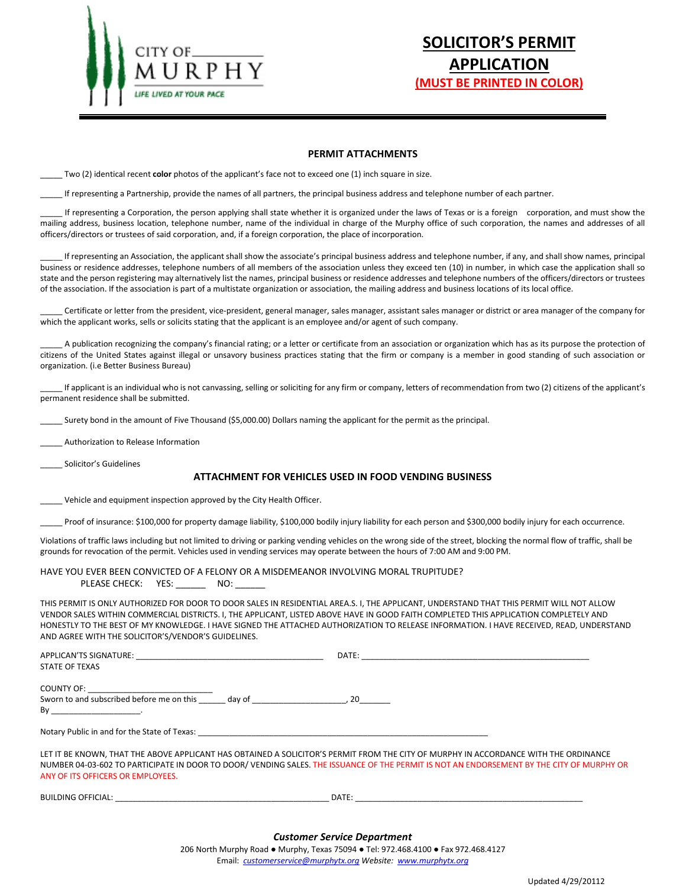

# **SOLICITOR'S PERMIT APPLICATION (MUST BE PRINTED IN COLOR)**

#### **PERMIT ATTACHMENTS**

\_\_\_\_\_ Two (2) identical recent **color** photos of the applicant's face not to exceed one (1) inch square in size.

If representing a Partnership, provide the names of all partners, the principal business address and telephone number of each partner.

If representing a Corporation, the person applying shall state whether it is organized under the laws of Texas or is a foreign corporation, and must show the mailing address, business location, telephone number, name of the individual in charge of the Murphy office of such corporation, the names and addresses of all officers/directors or trustees of said corporation, and, if a foreign corporation, the place of incorporation.

If representing an Association, the applicant shall show the associate's principal business address and telephone number, if any, and shall show names, principal business or residence addresses, telephone numbers of all members of the association unless they exceed ten (10) in number, in which case the application shall so state and the person registering may alternatively list the names, principal business or residence addresses and telephone numbers of the officers/directors or trustees of the association. If the association is part of a multistate organization or association, the mailing address and business locations of its local office.

Certificate or letter from the president, vice-president, general manager, sales manager, assistant sales manager or district or area manager of the company for which the applicant works, sells or solicits stating that the applicant is an employee and/or agent of such company.

A publication recognizing the company's financial rating; or a letter or certificate from an association or organization which has as its purpose the protection of citizens of the United States against illegal or unsavory business practices stating that the firm or company is a member in good standing of such association or organization. (i.e Better Business Bureau)

If applicant is an individual who is not canvassing, selling or soliciting for any firm or company, letters of recommendation from two (2) citizens of the applicant's permanent residence shall be submitted.

Surety bond in the amount of Five Thousand (\$5,000.00) Dollars naming the applicant for the permit as the principal.

\_\_\_\_\_ Authorization to Release Information

Solicitor's Guidelines

#### **ATTACHMENT FOR VEHICLES USED IN FOOD VENDING BUSINESS**

Vehicle and equipment inspection approved by the City Health Officer.

Proof of insurance: \$100,000 for property damage liability, \$100,000 bodily injury liability for each person and \$300,000 bodily injury for each occurrence.

Violations of traffic laws including but not limited to driving or parking vending vehicles on the wrong side of the street, blocking the normal flow of traffic, shall be grounds for revocation of the permit. Vehicles used in vending services may operate between the hours of 7:00 AM and 9:00 PM.

HAVE YOU EVER BEEN CONVICTED OF A FELONY OR A MISDEMEANOR INVOLVING MORAL TRUPITUDE? PLEASE CHECK: YES: \_\_\_\_\_\_\_ NO: \_

THIS PERMIT IS ONLY AUTHORIZED FOR DOOR TO DOOR SALES IN RESIDENTIAL AREA.S. I, THE APPLICANT, UNDERSTAND THAT THIS PERMIT WILL NOT ALLOW VENDOR SALES WITHIN COMMERCIAL DISTRICTS. I, THE APPLICANT, LISTED ABOVE HAVE IN GOOD FAITH COMPLETED THIS APPLICATION COMPLETELY AND HONESTLY TO THE BEST OF MY KNOWLEDGE. I HAVE SIGNED THE ATTACHED AUTHORIZATION TO RELEASE INFORMATION. I HAVE RECEIVED, READ, UNDERSTAND AND AGREE WITH THE SOLICITOR'S/VENDOR'S GUIDELINES.

| <b>STATE OF TEXAS</b>                                                                                                                                                                                                         |                                                                                                                                       |  |
|-------------------------------------------------------------------------------------------------------------------------------------------------------------------------------------------------------------------------------|---------------------------------------------------------------------------------------------------------------------------------------|--|
| COUNTY OF: _________________________________                                                                                                                                                                                  |                                                                                                                                       |  |
| Sworn to and subscribed before me on this day of 100 minutes and 20 minutes of the state of the state of the state of the state of the state of the state of the state of the state of the state of the state of the state of |                                                                                                                                       |  |
| $\mathsf{By}$                                                                                                                                                                                                                 |                                                                                                                                       |  |
| Notary Public in and for the State of Texas: Notary Public in the State of Texas: Notary Public in and for the State of Texas:                                                                                                |                                                                                                                                       |  |
|                                                                                                                                                                                                                               | LET IT BE KNOWN, THAT THE ABOVE APPLICANT HAS OBTAINED A SOLICITOR'S PERMIT FROM THE CITY OF MURPHY IN ACCORDANCE WITH THE ORDINANCE  |  |
|                                                                                                                                                                                                                               | NUMBER 04-03-602 TO PARTICIPATE IN DOOR TO DOOR/VENDING SALES. THE ISSUANCE OF THE PERMIT IS NOT AN ENDORSEMENT BY THE CITY OF MURPHY |  |

NUMBER 04-03-602 TO PARTICIPATE IN DOOR TO DOOR/ VENDING SALES. THE ISSUANCE OF THE PERMIT IS NOT AN ENDORSEMENT BY THE CITY OF MURPHY OR ANY OF ITS OFFICERS OR EMPLOYEES.

BUILDING OFFICIAL: \_\_\_\_\_\_\_\_\_\_\_\_\_\_\_\_\_\_\_\_\_\_\_\_\_\_\_\_\_\_\_\_\_\_\_\_\_\_\_\_\_\_\_\_\_\_\_\_ DATE: \_\_\_\_\_\_\_\_\_\_\_\_\_\_\_\_\_\_\_\_\_\_\_\_\_\_\_\_\_\_\_\_\_\_\_\_\_\_\_\_\_\_\_\_\_\_\_\_\_\_\_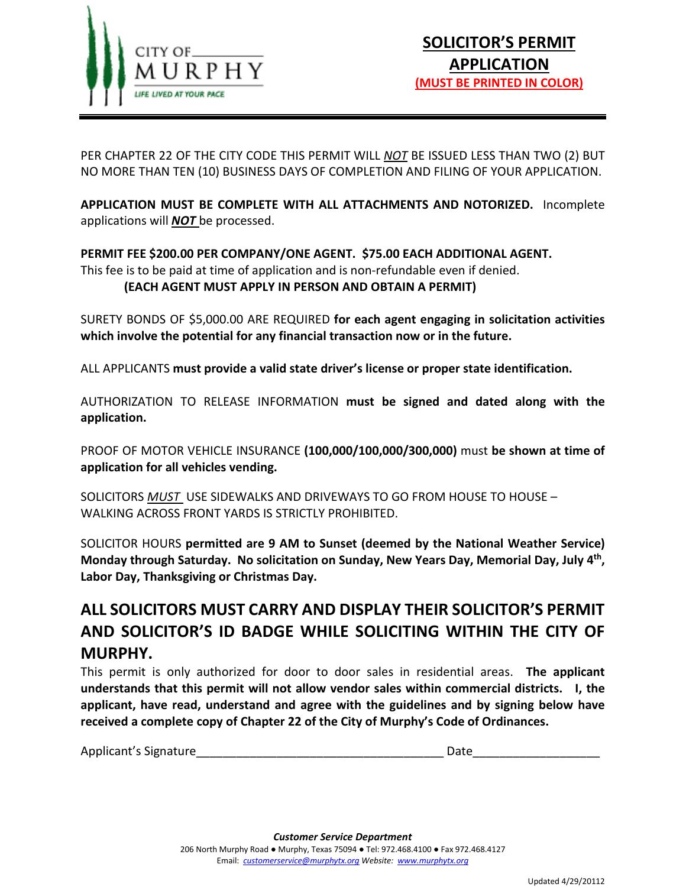

PER CHAPTER 22 OF THE CITY CODE THIS PERMIT WILL *NOT* BE ISSUED LESS THAN TWO (2) BUT NO MORE THAN TEN (10) BUSINESS DAYS OF COMPLETION AND FILING OF YOUR APPLICATION.

**APPLICATION MUST BE COMPLETE WITH ALL ATTACHMENTS AND NOTORIZED.** Incomplete applications will *NOT* be processed.

## **PERMIT FEE \$200.00 PER COMPANY/ONE AGENT. \$75.00 EACH ADDITIONAL AGENT.** This fee is to be paid at time of application and is non-refundable even if denied.

# **(EACH AGENT MUST APPLY IN PERSON AND OBTAIN A PERMIT)**

SURETY BONDS OF \$5,000.00 ARE REQUIRED **for each agent engaging in solicitation activities which involve the potential for any financial transaction now or in the future.**

ALL APPLICANTS **must provide a valid state driver's license or proper state identification.**

AUTHORIZATION TO RELEASE INFORMATION **must be signed and dated along with the application.**

PROOF OF MOTOR VEHICLE INSURANCE **(100,000/100,000/300,000)** must **be shown at time of application for all vehicles vending.**

SOLICITORS *MUST* USE SIDEWALKS AND DRIVEWAYS TO GO FROM HOUSE TO HOUSE – WALKING ACROSS FRONT YARDS IS STRICTLY PROHIBITED.

SOLICITOR HOURS **permitted are 9 AM to Sunset (deemed by the National Weather Service) Monday through Saturday. No solicitation on Sunday, New Years Day, Memorial Day, July 4th, Labor Day, Thanksgiving or Christmas Day.** 

# **ALL SOLICITORS MUST CARRY AND DISPLAY THEIR SOLICITOR'S PERMIT AND SOLICITOR'S ID BADGE WHILE SOLICITING WITHIN THE CITY OF MURPHY.**

This permit is only authorized for door to door sales in residential areas. **The applicant understands that this permit will not allow vendor sales within commercial districts. I, the applicant, have read, understand and agree with the guidelines and by signing below have received a complete copy of Chapter 22 of the City of Murphy's Code of Ordinances.**

| Applicant's Signature |
|-----------------------|
|-----------------------|